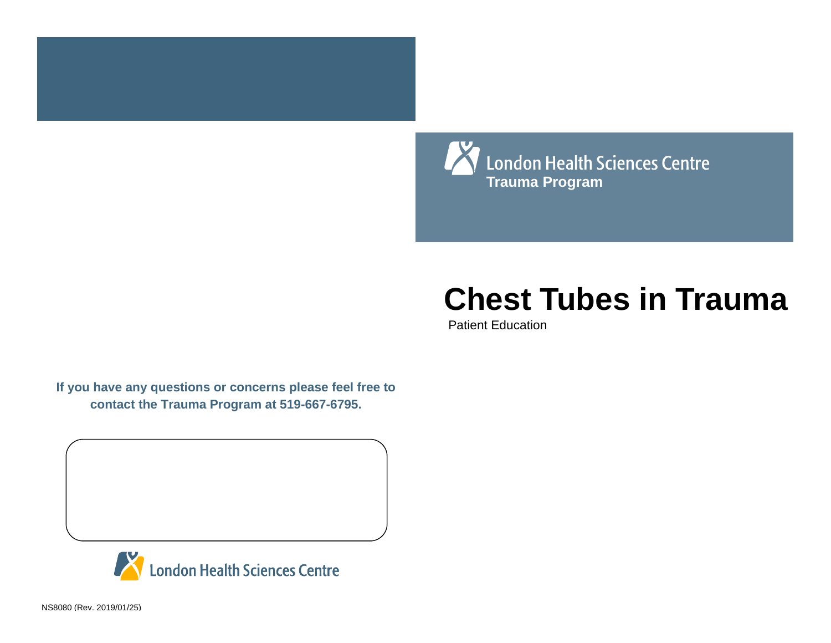

# **Chest Tubes in Trauma**

Patient Education

**If you have any questions or concerns please feel free to contact the Trauma Program at 519-667-6795.**



NS8080 (Rev. 2019/01/25)